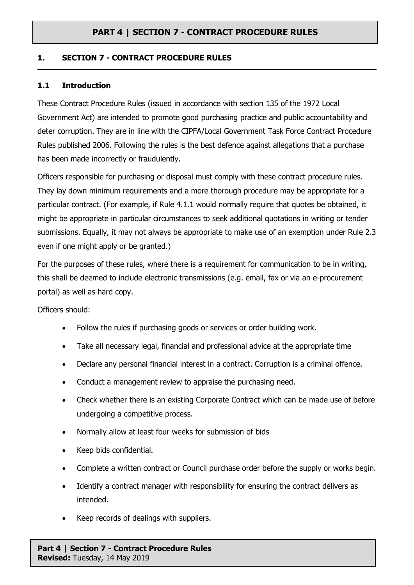#### **1. SECTION 7 - CONTRACT PROCEDURE RULES**

#### **1.1 Introduction**

These Contract Procedure Rules (issued in accordance with section 135 of the 1972 Local Government Act) are intended to promote good purchasing practice and public accountability and deter corruption. They are in line with the CIPFA/Local Government Task Force Contract Procedure Rules published 2006. Following the rules is the best defence against allegations that a purchase has been made incorrectly or fraudulently.

Officers responsible for purchasing or disposal must comply with these contract procedure rules. They lay down minimum requirements and a more thorough procedure may be appropriate for a particular contract. (For example, if Rule 4.1.1 would normally require that quotes be obtained, it might be appropriate in particular circumstances to seek additional quotations in writing or tender submissions. Equally, it may not always be appropriate to make use of an exemption under Rule 2.3 even if one might apply or be granted.)

For the purposes of these rules, where there is a requirement for communication to be in writing, this shall be deemed to include electronic transmissions (e.g. email, fax or via an e-procurement portal) as well as hard copy.

Officers should:

- Follow the rules if purchasing goods or services or order building work.
- Take all necessary legal, financial and professional advice at the appropriate time
- Declare any personal financial interest in a contract. Corruption is a criminal offence.
- Conduct a management review to appraise the purchasing need.
- Check whether there is an existing Corporate Contract which can be made use of before undergoing a competitive process.
- Normally allow at least four weeks for submission of bids
- Keep bids confidential.
- Complete a written contract or Council purchase order before the supply or works begin.
- Identify a contract manager with responsibility for ensuring the contract delivers as intended.
- Keep records of dealings with suppliers.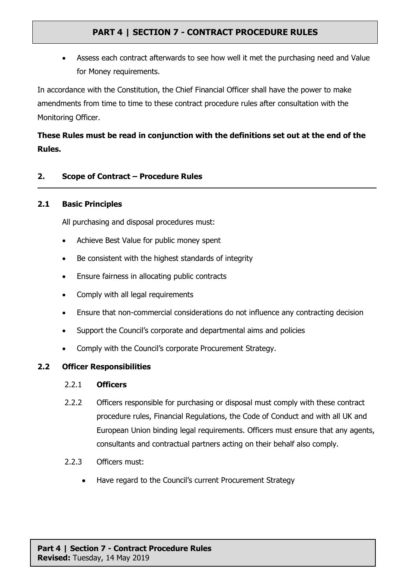Assess each contract afterwards to see how well it met the purchasing need and Value for Money requirements.

In accordance with the Constitution, the Chief Financial Officer shall have the power to make amendments from time to time to these contract procedure rules after consultation with the Monitoring Officer.

# **These Rules must be read in conjunction with the definitions set out at the end of the Rules.**

### **2. Scope of Contract – Procedure Rules**

#### **2.1 Basic Principles**

All purchasing and disposal procedures must:

- Achieve Best Value for public money spent
- Be consistent with the highest standards of integrity
- Ensure fairness in allocating public contracts
- Comply with all legal requirements
- Ensure that non-commercial considerations do not influence any contracting decision
- Support the Council's corporate and departmental aims and policies
- Comply with the Council's corporate Procurement Strategy.

### **2.2 Officer Responsibilities**

### 2.2.1 **Officers**

- 2.2.2 Officers responsible for purchasing or disposal must comply with these contract procedure rules, Financial Regulations, the Code of Conduct and with all UK and European Union binding legal requirements. Officers must ensure that any agents, consultants and contractual partners acting on their behalf also comply.
- 2.2.3 Officers must:
	- Have regard to the Council's current Procurement Strategy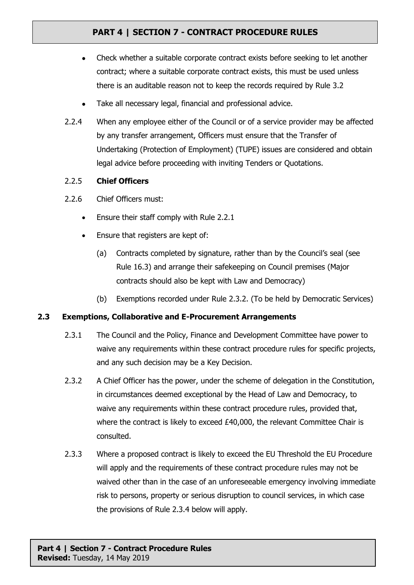- Check whether a suitable corporate contract exists before seeking to let another contract; where a suitable corporate contract exists, this must be used unless there is an auditable reason not to keep the records required by Rule 3.2
- Take all necessary legal, financial and professional advice.
- 2.2.4 When any employee either of the Council or of a service provider may be affected by any transfer arrangement, Officers must ensure that the Transfer of Undertaking (Protection of Employment) (TUPE) issues are considered and obtain legal advice before proceeding with inviting Tenders or Quotations.

### 2.2.5 **Chief Officers**

- 2.2.6 Chief Officers must:
	- Ensure their staff comply with Rule 2.2.1
	- Ensure that registers are kept of:
		- (a) Contracts completed by signature, rather than by the Council's seal (see Rule 16.3) and arrange their safekeeping on Council premises (Major contracts should also be kept with Law and Democracy)
		- (b) Exemptions recorded under Rule 2.3.2. (To be held by Democratic Services)

### **2.3 Exemptions, Collaborative and E-Procurement Arrangements**

- 2.3.1 The Council and the Policy, Finance and Development Committee have power to waive any requirements within these contract procedure rules for specific projects, and any such decision may be a Key Decision.
- 2.3.2 A Chief Officer has the power, under the scheme of delegation in the Constitution, in circumstances deemed exceptional by the Head of Law and Democracy, to waive any requirements within these contract procedure rules, provided that, where the contract is likely to exceed £40,000, the relevant Committee Chair is consulted.
- 2.3.3 Where a proposed contract is likely to exceed the EU Threshold the EU Procedure will apply and the requirements of these contract procedure rules may not be waived other than in the case of an unforeseeable emergency involving immediate risk to persons, property or serious disruption to council services, in which case the provisions of Rule 2.3.4 below will apply.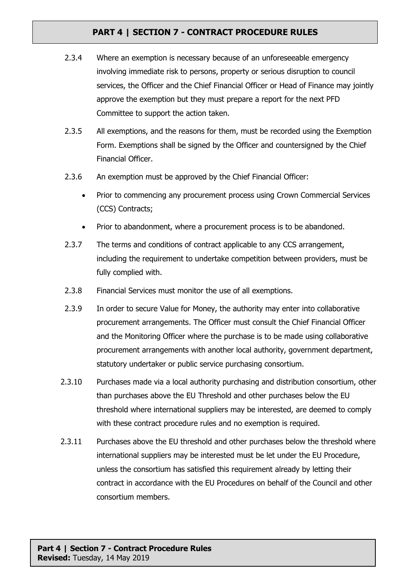- 2.3.4 Where an exemption is necessary because of an unforeseeable emergency involving immediate risk to persons, property or serious disruption to council services, the Officer and the Chief Financial Officer or Head of Finance may jointly approve the exemption but they must prepare a report for the next PFD Committee to support the action taken.
- 2.3.5 All exemptions, and the reasons for them, must be recorded using the Exemption Form. Exemptions shall be signed by the Officer and countersigned by the Chief Financial Officer.
- 2.3.6 An exemption must be approved by the Chief Financial Officer:
	- Prior to commencing any procurement process using Crown Commercial Services (CCS) Contracts;
	- Prior to abandonment, where a procurement process is to be abandoned.
- 2.3.7 The terms and conditions of contract applicable to any CCS arrangement, including the requirement to undertake competition between providers, must be fully complied with.
- 2.3.8 Financial Services must monitor the use of all exemptions.
- 2.3.9 In order to secure Value for Money, the authority may enter into collaborative procurement arrangements. The Officer must consult the Chief Financial Officer and the Monitoring Officer where the purchase is to be made using collaborative procurement arrangements with another local authority, government department, statutory undertaker or public service purchasing consortium.
- 2.3.10 Purchases made via a local authority purchasing and distribution consortium, other than purchases above the EU Threshold and other purchases below the EU threshold where international suppliers may be interested, are deemed to comply with these contract procedure rules and no exemption is required.
- 2.3.11 Purchases above the EU threshold and other purchases below the threshold where international suppliers may be interested must be let under the EU Procedure, unless the consortium has satisfied this requirement already by letting their contract in accordance with the EU Procedures on behalf of the Council and other consortium members.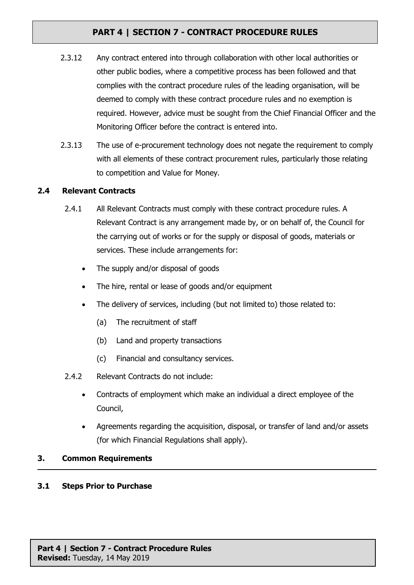- 2.3.12 Any contract entered into through collaboration with other local authorities or other public bodies, where a competitive process has been followed and that complies with the contract procedure rules of the leading organisation, will be deemed to comply with these contract procedure rules and no exemption is required. However, advice must be sought from the Chief Financial Officer and the Monitoring Officer before the contract is entered into.
- 2.3.13 The use of e-procurement technology does not negate the requirement to comply with all elements of these contract procurement rules, particularly those relating to competition and Value for Money.

### **2.4 Relevant Contracts**

- 2.4.1 All Relevant Contracts must comply with these contract procedure rules. A Relevant Contract is any arrangement made by, or on behalf of, the Council for the carrying out of works or for the supply or disposal of goods, materials or services. These include arrangements for:
	- The supply and/or disposal of goods
	- The hire, rental or lease of goods and/or equipment
	- The delivery of services, including (but not limited to) those related to:
		- (a) The recruitment of staff
		- (b) Land and property transactions
		- (c) Financial and consultancy services.
- 2.4.2 Relevant Contracts do not include:
	- Contracts of employment which make an individual a direct employee of the Council,
	- Agreements regarding the acquisition, disposal, or transfer of land and/or assets (for which Financial Regulations shall apply).

### **3. Common Requirements**

### **3.1 Steps Prior to Purchase**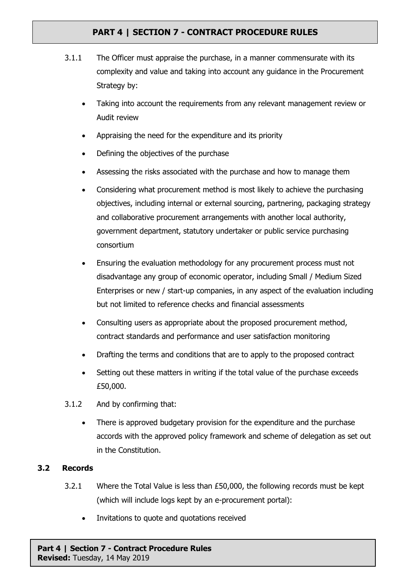- 3.1.1 The Officer must appraise the purchase, in a manner commensurate with its complexity and value and taking into account any guidance in the Procurement Strategy by:
	- Taking into account the requirements from any relevant management review or Audit review
	- Appraising the need for the expenditure and its priority
	- Defining the objectives of the purchase
	- Assessing the risks associated with the purchase and how to manage them
	- Considering what procurement method is most likely to achieve the purchasing objectives, including internal or external sourcing, partnering, packaging strategy and collaborative procurement arrangements with another local authority, government department, statutory undertaker or public service purchasing consortium
	- Ensuring the evaluation methodology for any procurement process must not disadvantage any group of economic operator, including Small / Medium Sized Enterprises or new / start-up companies, in any aspect of the evaluation including but not limited to reference checks and financial assessments
	- Consulting users as appropriate about the proposed procurement method, contract standards and performance and user satisfaction monitoring
	- Drafting the terms and conditions that are to apply to the proposed contract
	- Setting out these matters in writing if the total value of the purchase exceeds £50,000.
- 3.1.2 And by confirming that:
	- There is approved budgetary provision for the expenditure and the purchase accords with the approved policy framework and scheme of delegation as set out in the Constitution.

### **3.2 Records**

- 3.2.1 Where the Total Value is less than £50,000, the following records must be kept (which will include logs kept by an e-procurement portal):
	- Invitations to quote and quotations received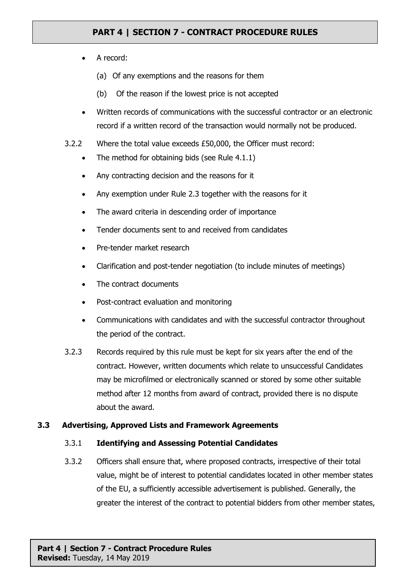- A record:
	- (a) Of any exemptions and the reasons for them
	- (b) Of the reason if the lowest price is not accepted
- Written records of communications with the successful contractor or an electronic record if a written record of the transaction would normally not be produced.
- 3.2.2 Where the total value exceeds £50,000, the Officer must record:
	- The method for obtaining bids (see Rule 4.1.1)
	- Any contracting decision and the reasons for it
	- Any exemption under Rule 2.3 together with the reasons for it
	- The award criteria in descending order of importance
	- Tender documents sent to and received from candidates
	- Pre-tender market research
	- Clarification and post-tender negotiation (to include minutes of meetings)
	- The contract documents
	- Post-contract evaluation and monitoring
	- Communications with candidates and with the successful contractor throughout the period of the contract.
- 3.2.3 Records required by this rule must be kept for six years after the end of the contract. However, written documents which relate to unsuccessful Candidates may be microfilmed or electronically scanned or stored by some other suitable method after 12 months from award of contract, provided there is no dispute about the award.

### **3.3 Advertising, Approved Lists and Framework Agreements**

#### 3.3.1 **Identifying and Assessing Potential Candidates**

3.3.2 Officers shall ensure that, where proposed contracts, irrespective of their total value, might be of interest to potential candidates located in other member states of the EU, a sufficiently accessible advertisement is published. Generally, the greater the interest of the contract to potential bidders from other member states,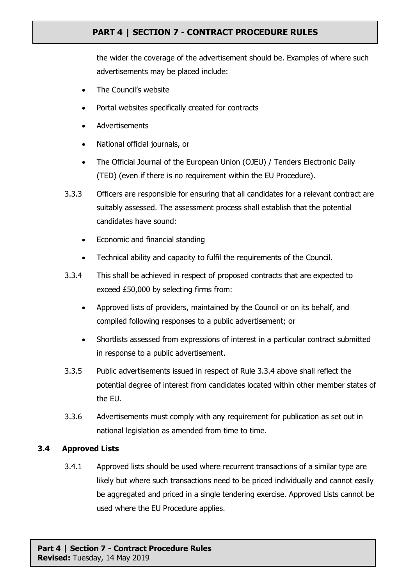the wider the coverage of the advertisement should be. Examples of where such advertisements may be placed include:

- The Council's website
- Portal websites specifically created for contracts
- Advertisements
- National official journals, or
- The Official Journal of the European Union (OJEU) / Tenders Electronic Daily (TED) (even if there is no requirement within the EU Procedure).
- 3.3.3 Officers are responsible for ensuring that all candidates for a relevant contract are suitably assessed. The assessment process shall establish that the potential candidates have sound:
	- Economic and financial standing
	- Technical ability and capacity to fulfil the requirements of the Council.
- 3.3.4 This shall be achieved in respect of proposed contracts that are expected to exceed £50,000 by selecting firms from:
	- Approved lists of providers, maintained by the Council or on its behalf, and compiled following responses to a public advertisement; or
	- Shortlists assessed from expressions of interest in a particular contract submitted in response to a public advertisement.
- 3.3.5 Public advertisements issued in respect of Rule 3.3.4 above shall reflect the potential degree of interest from candidates located within other member states of the EU.
- 3.3.6 Advertisements must comply with any requirement for publication as set out in national legislation as amended from time to time.

### **3.4 Approved Lists**

3.4.1 Approved lists should be used where recurrent transactions of a similar type are likely but where such transactions need to be priced individually and cannot easily be aggregated and priced in a single tendering exercise. Approved Lists cannot be used where the EU Procedure applies.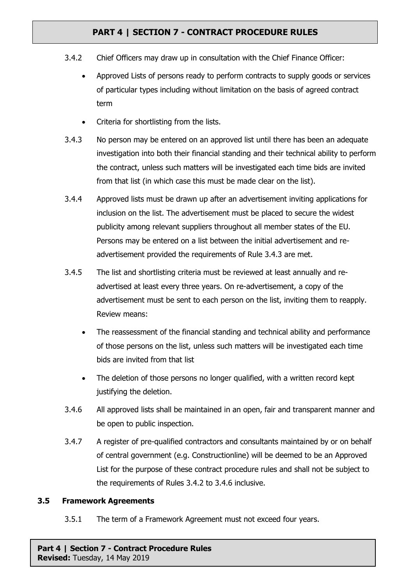- 3.4.2 Chief Officers may draw up in consultation with the Chief Finance Officer:
	- Approved Lists of persons ready to perform contracts to supply goods or services of particular types including without limitation on the basis of agreed contract term
	- Criteria for shortlisting from the lists.
- 3.4.3 No person may be entered on an approved list until there has been an adequate investigation into both their financial standing and their technical ability to perform the contract, unless such matters will be investigated each time bids are invited from that list (in which case this must be made clear on the list).
- 3.4.4 Approved lists must be drawn up after an advertisement inviting applications for inclusion on the list. The advertisement must be placed to secure the widest publicity among relevant suppliers throughout all member states of the EU. Persons may be entered on a list between the initial advertisement and readvertisement provided the requirements of Rule 3.4.3 are met.
- 3.4.5 The list and shortlisting criteria must be reviewed at least annually and readvertised at least every three years. On re-advertisement, a copy of the advertisement must be sent to each person on the list, inviting them to reapply. Review means:
	- The reassessment of the financial standing and technical ability and performance of those persons on the list, unless such matters will be investigated each time bids are invited from that list
	- The deletion of those persons no longer qualified, with a written record kept justifying the deletion.
- 3.4.6 All approved lists shall be maintained in an open, fair and transparent manner and be open to public inspection.
- 3.4.7 A register of pre-qualified contractors and consultants maintained by or on behalf of central government (e.g. Constructionline) will be deemed to be an Approved List for the purpose of these contract procedure rules and shall not be subject to the requirements of Rules 3.4.2 to 3.4.6 inclusive.

#### **3.5 Framework Agreements**

3.5.1 The term of a Framework Agreement must not exceed four years.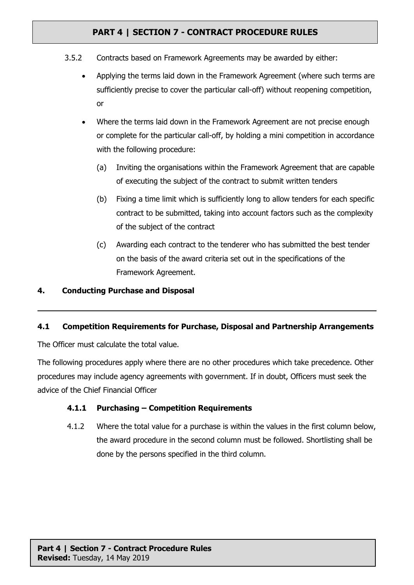- 3.5.2 Contracts based on Framework Agreements may be awarded by either:
	- Applying the terms laid down in the Framework Agreement (where such terms are sufficiently precise to cover the particular call-off) without reopening competition, or
	- Where the terms laid down in the Framework Agreement are not precise enough or complete for the particular call-off, by holding a mini competition in accordance with the following procedure:
		- (a) Inviting the organisations within the Framework Agreement that are capable of executing the subject of the contract to submit written tenders
		- (b) Fixing a time limit which is sufficiently long to allow tenders for each specific contract to be submitted, taking into account factors such as the complexity of the subject of the contract
		- (c) Awarding each contract to the tenderer who has submitted the best tender on the basis of the award criteria set out in the specifications of the Framework Agreement.

### **4. Conducting Purchase and Disposal**

### **4.1 Competition Requirements for Purchase, Disposal and Partnership Arrangements**

The Officer must calculate the total value.

The following procedures apply where there are no other procedures which take precedence. Other procedures may include agency agreements with government. If in doubt, Officers must seek the advice of the Chief Financial Officer

### **4.1.1 Purchasing – Competition Requirements**

4.1.2 Where the total value for a purchase is within the values in the first column below, the award procedure in the second column must be followed. Shortlisting shall be done by the persons specified in the third column.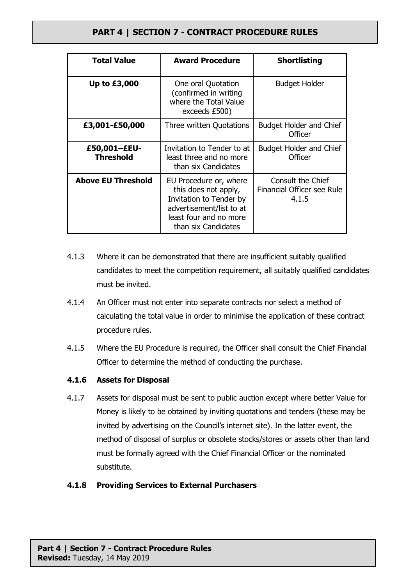| <b>Total Value</b>               | <b>Award Procedure</b>                                                                                                                                 | <b>Shortlisting</b>                                      |
|----------------------------------|--------------------------------------------------------------------------------------------------------------------------------------------------------|----------------------------------------------------------|
| Up to £3,000                     | One oral Quotation<br>(confirmed in writing<br>where the Total Value<br>exceeds £500)                                                                  | <b>Budget Holder</b>                                     |
| £3,001-£50,000                   | Three written Quotations                                                                                                                               | <b>Budget Holder and Chief</b><br>Officer                |
| £50,001-£EU-<br><b>Threshold</b> | Invitation to Tender to at<br>least three and no more<br>than six Candidates                                                                           | <b>Budget Holder and Chief</b><br>Officer                |
| <b>Above EU Threshold</b>        | EU Procedure or, where<br>this does not apply,<br>Invitation to Tender by<br>advertisement/list to at<br>least four and no more<br>than six Candidates | Consult the Chief<br>Financial Officer see Rule<br>4.1.5 |

- 4.1.3 Where it can be demonstrated that there are insufficient suitably qualified candidates to meet the competition requirement, all suitably qualified candidates must be invited.
- 4.1.4 An Officer must not enter into separate contracts nor select a method of calculating the total value in order to minimise the application of these contract procedure rules.
- 4.1.5 Where the EU Procedure is required, the Officer shall consult the Chief Financial Officer to determine the method of conducting the purchase.

### **4.1.6 Assets for Disposal**

4.1.7 Assets for disposal must be sent to public auction except where better Value for Money is likely to be obtained by inviting quotations and tenders (these may be invited by advertising on the Council's internet site). In the latter event, the method of disposal of surplus or obsolete stocks/stores or assets other than land must be formally agreed with the Chief Financial Officer or the nominated substitute.

### **4.1.8 Providing Services to External Purchasers**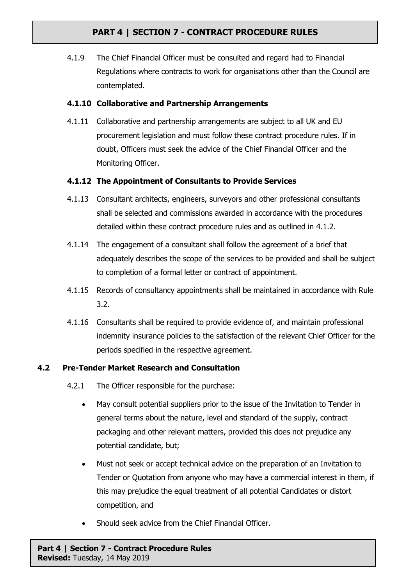4.1.9 The Chief Financial Officer must be consulted and regard had to Financial Regulations where contracts to work for organisations other than the Council are contemplated.

### **4.1.10 Collaborative and Partnership Arrangements**

4.1.11 Collaborative and partnership arrangements are subject to all UK and EU procurement legislation and must follow these contract procedure rules. If in doubt, Officers must seek the advice of the Chief Financial Officer and the Monitoring Officer.

### **4.1.12 The Appointment of Consultants to Provide Services**

- 4.1.13 Consultant architects, engineers, surveyors and other professional consultants shall be selected and commissions awarded in accordance with the procedures detailed within these contract procedure rules and as outlined in 4.1.2.
- 4.1.14 The engagement of a consultant shall follow the agreement of a brief that adequately describes the scope of the services to be provided and shall be subject to completion of a formal letter or contract of appointment.
- 4.1.15 Records of consultancy appointments shall be maintained in accordance with Rule 3.2.
- 4.1.16 Consultants shall be required to provide evidence of, and maintain professional indemnity insurance policies to the satisfaction of the relevant Chief Officer for the periods specified in the respective agreement.

### **4.2 Pre-Tender Market Research and Consultation**

- 4.2.1 The Officer responsible for the purchase:
	- May consult potential suppliers prior to the issue of the Invitation to Tender in general terms about the nature, level and standard of the supply, contract packaging and other relevant matters, provided this does not prejudice any potential candidate, but;
	- Must not seek or accept technical advice on the preparation of an Invitation to Tender or Quotation from anyone who may have a commercial interest in them, if this may prejudice the equal treatment of all potential Candidates or distort competition, and
	- Should seek advice from the Chief Financial Officer.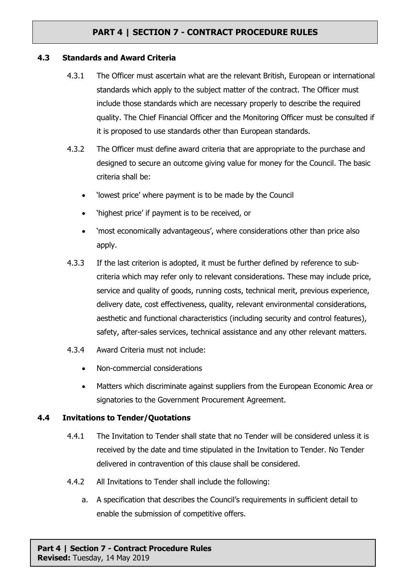#### **4.3 Standards and Award Criteria**

- 4.3.1 The Officer must ascertain what are the relevant British, European or international standards which apply to the subject matter of the contract. The Officer must include those standards which are necessary properly to describe the required quality. The Chief Financial Officer and the Monitoring Officer must be consulted if it is proposed to use standards other than European standards.
- 4.3.2 The Officer must define award criteria that are appropriate to the purchase and designed to secure an outcome giving value for money for the Council. The basic criteria shall be:
	- 'lowest price' where payment is to be made by the Council
	- 'highest price' if payment is to be received, or
	- 'most economically advantageous', where considerations other than price also apply.
- 4.3.3 If the last criterion is adopted, it must be further defined by reference to subcriteria which may refer only to relevant considerations. These may include price, service and quality of goods, running costs, technical merit, previous experience, delivery date, cost effectiveness, quality, relevant environmental considerations, aesthetic and functional characteristics (including security and control features), safety, after-sales services, technical assistance and any other relevant matters.
- 4.3.4 Award Criteria must not include:
	- Non-commercial considerations
	- Matters which discriminate against suppliers from the European Economic Area or signatories to the Government Procurement Agreement.

#### **4.4 Invitations to Tender/Quotations**

- 4.4.1 The Invitation to Tender shall state that no Tender will be considered unless it is received by the date and time stipulated in the Invitation to Tender. No Tender delivered in contravention of this clause shall be considered.
- 4.4.2 All Invitations to Tender shall include the following:
	- a. A specification that describes the Council's requirements in sufficient detail to enable the submission of competitive offers.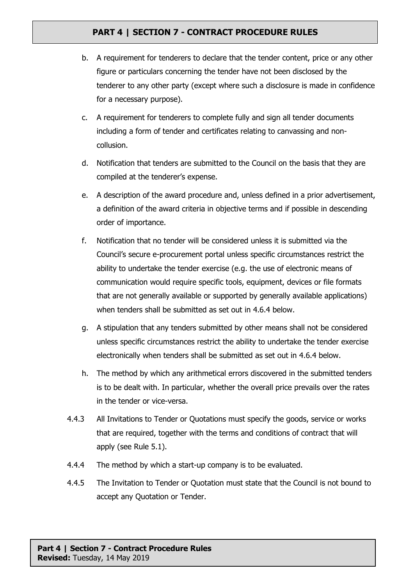- b. A requirement for tenderers to declare that the tender content, price or any other figure or particulars concerning the tender have not been disclosed by the tenderer to any other party (except where such a disclosure is made in confidence for a necessary purpose).
- c. A requirement for tenderers to complete fully and sign all tender documents including a form of tender and certificates relating to canvassing and noncollusion.
- d. Notification that tenders are submitted to the Council on the basis that they are compiled at the tenderer's expense.
- e. A description of the award procedure and, unless defined in a prior advertisement, a definition of the award criteria in objective terms and if possible in descending order of importance.
- f. Notification that no tender will be considered unless it is submitted via the Council's secure e-procurement portal unless specific circumstances restrict the ability to undertake the tender exercise (e.g. the use of electronic means of communication would require specific tools, equipment, devices or file formats that are not generally available or supported by generally available applications) when tenders shall be submitted as set out in 4.6.4 below.
- g. A stipulation that any tenders submitted by other means shall not be considered unless specific circumstances restrict the ability to undertake the tender exercise electronically when tenders shall be submitted as set out in 4.6.4 below.
- h. The method by which any arithmetical errors discovered in the submitted tenders is to be dealt with. In particular, whether the overall price prevails over the rates in the tender or vice-versa.
- 4.4.3 All Invitations to Tender or Quotations must specify the goods, service or works that are required, together with the terms and conditions of contract that will apply (see Rule 5.1).
- 4.4.4 The method by which a start-up company is to be evaluated.
- 4.4.5 The Invitation to Tender or Quotation must state that the Council is not bound to accept any Quotation or Tender.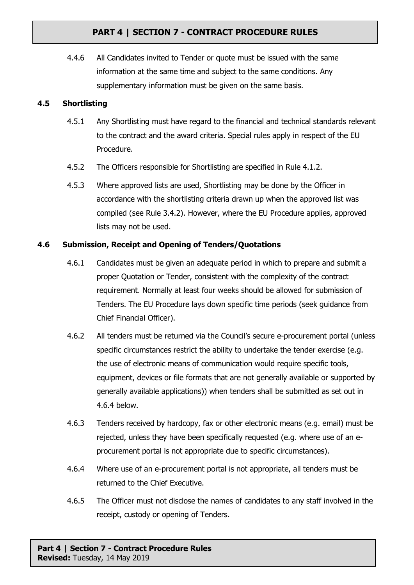4.4.6 All Candidates invited to Tender or quote must be issued with the same information at the same time and subject to the same conditions. Any supplementary information must be given on the same basis.

### **4.5 Shortlisting**

- 4.5.1 Any Shortlisting must have regard to the financial and technical standards relevant to the contract and the award criteria. Special rules apply in respect of the EU Procedure.
- 4.5.2 The Officers responsible for Shortlisting are specified in Rule 4.1.2.
- 4.5.3 Where approved lists are used, Shortlisting may be done by the Officer in accordance with the shortlisting criteria drawn up when the approved list was compiled (see Rule 3.4.2). However, where the EU Procedure applies, approved lists may not be used.

### **4.6 Submission, Receipt and Opening of Tenders/Quotations**

- 4.6.1 Candidates must be given an adequate period in which to prepare and submit a proper Quotation or Tender, consistent with the complexity of the contract requirement. Normally at least four weeks should be allowed for submission of Tenders. The EU Procedure lays down specific time periods (seek guidance from Chief Financial Officer).
- 4.6.2 All tenders must be returned via the Council's secure e-procurement portal (unless specific circumstances restrict the ability to undertake the tender exercise (e.g. the use of electronic means of communication would require specific tools, equipment, devices or file formats that are not generally available or supported by generally available applications)) when tenders shall be submitted as set out in 4.6.4 below.
- 4.6.3 Tenders received by hardcopy, fax or other electronic means (e.g. email) must be rejected, unless they have been specifically requested (e.g. where use of an eprocurement portal is not appropriate due to specific circumstances).
- 4.6.4 Where use of an e-procurement portal is not appropriate, all tenders must be returned to the Chief Executive.
- 4.6.5 The Officer must not disclose the names of candidates to any staff involved in the receipt, custody or opening of Tenders.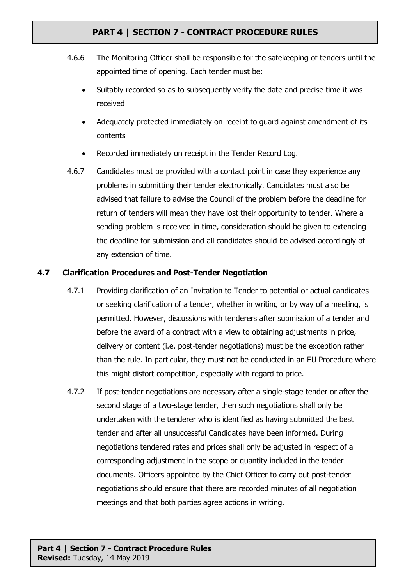- 4.6.6 The Monitoring Officer shall be responsible for the safekeeping of tenders until the appointed time of opening. Each tender must be:
	- Suitably recorded so as to subsequently verify the date and precise time it was received
	- Adequately protected immediately on receipt to guard against amendment of its contents
	- Recorded immediately on receipt in the Tender Record Log.
- 4.6.7 Candidates must be provided with a contact point in case they experience any problems in submitting their tender electronically. Candidates must also be advised that failure to advise the Council of the problem before the deadline for return of tenders will mean they have lost their opportunity to tender. Where a sending problem is received in time, consideration should be given to extending the deadline for submission and all candidates should be advised accordingly of any extension of time.

### **4.7 Clarification Procedures and Post-Tender Negotiation**

- 4.7.1 Providing clarification of an Invitation to Tender to potential or actual candidates or seeking clarification of a tender, whether in writing or by way of a meeting, is permitted. However, discussions with tenderers after submission of a tender and before the award of a contract with a view to obtaining adjustments in price, delivery or content (i.e. post-tender negotiations) must be the exception rather than the rule. In particular, they must not be conducted in an EU Procedure where this might distort competition, especially with regard to price.
- 4.7.2 If post-tender negotiations are necessary after a single-stage tender or after the second stage of a two-stage tender, then such negotiations shall only be undertaken with the tenderer who is identified as having submitted the best tender and after all unsuccessful Candidates have been informed. During negotiations tendered rates and prices shall only be adjusted in respect of a corresponding adjustment in the scope or quantity included in the tender documents. Officers appointed by the Chief Officer to carry out post-tender negotiations should ensure that there are recorded minutes of all negotiation meetings and that both parties agree actions in writing.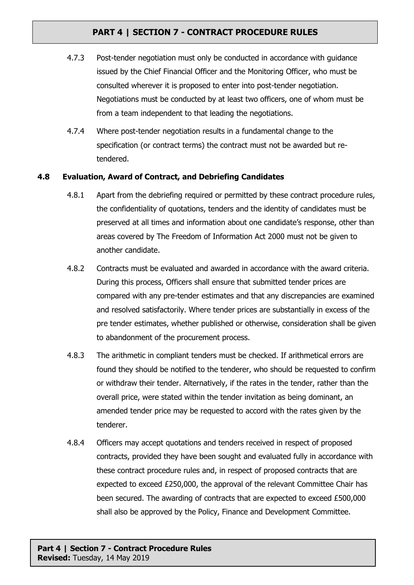- 4.7.3 Post-tender negotiation must only be conducted in accordance with guidance issued by the Chief Financial Officer and the Monitoring Officer, who must be consulted wherever it is proposed to enter into post-tender negotiation. Negotiations must be conducted by at least two officers, one of whom must be from a team independent to that leading the negotiations.
- 4.7.4 Where post-tender negotiation results in a fundamental change to the specification (or contract terms) the contract must not be awarded but retendered.

### **4.8 Evaluation, Award of Contract, and Debriefing Candidates**

- 4.8.1 Apart from the debriefing required or permitted by these contract procedure rules, the confidentiality of quotations, tenders and the identity of candidates must be preserved at all times and information about one candidate's response, other than areas covered by The Freedom of Information Act 2000 must not be given to another candidate.
- 4.8.2 Contracts must be evaluated and awarded in accordance with the award criteria. During this process, Officers shall ensure that submitted tender prices are compared with any pre-tender estimates and that any discrepancies are examined and resolved satisfactorily. Where tender prices are substantially in excess of the pre tender estimates, whether published or otherwise, consideration shall be given to abandonment of the procurement process.
- 4.8.3 The arithmetic in compliant tenders must be checked. If arithmetical errors are found they should be notified to the tenderer, who should be requested to confirm or withdraw their tender. Alternatively, if the rates in the tender, rather than the overall price, were stated within the tender invitation as being dominant, an amended tender price may be requested to accord with the rates given by the tenderer.
- 4.8.4 Officers may accept quotations and tenders received in respect of proposed contracts, provided they have been sought and evaluated fully in accordance with these contract procedure rules and, in respect of proposed contracts that are expected to exceed £250,000, the approval of the relevant Committee Chair has been secured. The awarding of contracts that are expected to exceed £500,000 shall also be approved by the Policy, Finance and Development Committee.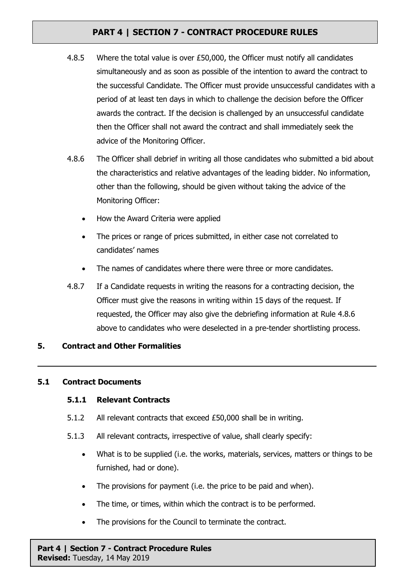- 4.8.5 Where the total value is over £50,000, the Officer must notify all candidates simultaneously and as soon as possible of the intention to award the contract to the successful Candidate. The Officer must provide unsuccessful candidates with a period of at least ten days in which to challenge the decision before the Officer awards the contract. If the decision is challenged by an unsuccessful candidate then the Officer shall not award the contract and shall immediately seek the advice of the Monitoring Officer.
- 4.8.6 The Officer shall debrief in writing all those candidates who submitted a bid about the characteristics and relative advantages of the leading bidder. No information, other than the following, should be given without taking the advice of the Monitoring Officer:
	- How the Award Criteria were applied
	- The prices or range of prices submitted, in either case not correlated to candidates' names
	- The names of candidates where there were three or more candidates.
- 4.8.7 If a Candidate requests in writing the reasons for a contracting decision, the Officer must give the reasons in writing within 15 days of the request. If requested, the Officer may also give the debriefing information at Rule 4.8.6 above to candidates who were deselected in a pre-tender shortlisting process.

### **5. Contract and Other Formalities**

### **5.1 Contract Documents**

### **5.1.1 Relevant Contracts**

- 5.1.2 All relevant contracts that exceed £50,000 shall be in writing.
- 5.1.3 All relevant contracts, irrespective of value, shall clearly specify:
	- What is to be supplied (i.e. the works, materials, services, matters or things to be furnished, had or done).
	- The provisions for payment (i.e. the price to be paid and when).
	- The time, or times, within which the contract is to be performed.
	- The provisions for the Council to terminate the contract.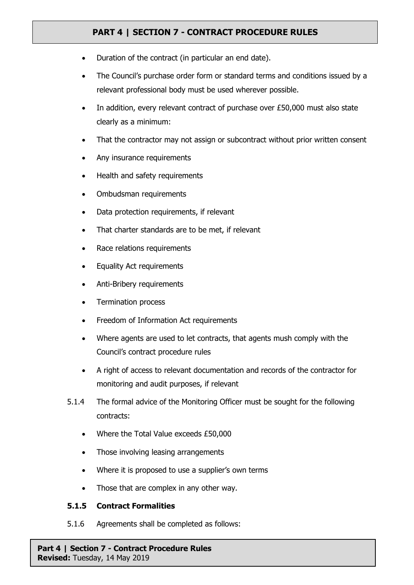- Duration of the contract (in particular an end date).
- The Council's purchase order form or standard terms and conditions issued by a relevant professional body must be used wherever possible.
- In addition, every relevant contract of purchase over £50,000 must also state clearly as a minimum:
- That the contractor may not assign or subcontract without prior written consent
- Any insurance requirements
- Health and safety requirements
- Ombudsman requirements
- Data protection requirements, if relevant
- That charter standards are to be met, if relevant
- Race relations requirements
- Equality Act requirements
- Anti-Bribery requirements
- Termination process
- Freedom of Information Act requirements
- Where agents are used to let contracts, that agents mush comply with the Council's contract procedure rules
- A right of access to relevant documentation and records of the contractor for monitoring and audit purposes, if relevant
- 5.1.4 The formal advice of the Monitoring Officer must be sought for the following contracts:
	- Where the Total Value exceeds £50,000
	- Those involving leasing arrangements
	- Where it is proposed to use a supplier's own terms
	- Those that are complex in any other way.

### **5.1.5 Contract Formalities**

5.1.6 Agreements shall be completed as follows: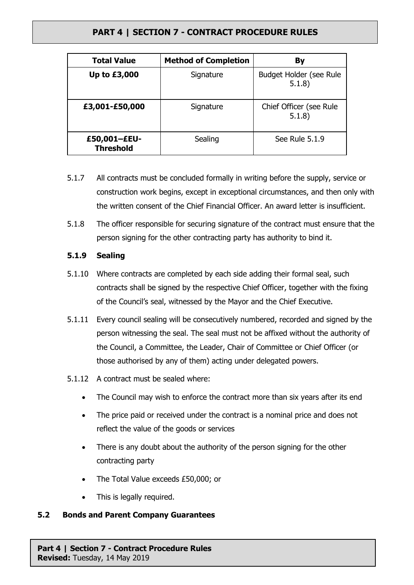| <b>Total Value</b>               | <b>Method of Completion</b> | By                                      |
|----------------------------------|-----------------------------|-----------------------------------------|
| Up to £3,000                     | Signature                   | <b>Budget Holder (see Rule</b><br>5.1.8 |
| £3,001-£50,000                   | Signature                   | Chief Officer (see Rule<br>5.1.8)       |
| £50,001-£EU-<br><b>Threshold</b> | Sealing                     | See Rule 5.1.9                          |

- 5.1.7 All contracts must be concluded formally in writing before the supply, service or construction work begins, except in exceptional circumstances, and then only with the written consent of the Chief Financial Officer. An award letter is insufficient.
- 5.1.8 The officer responsible for securing signature of the contract must ensure that the person signing for the other contracting party has authority to bind it.

### **5.1.9 Sealing**

- 5.1.10 Where contracts are completed by each side adding their formal seal, such contracts shall be signed by the respective Chief Officer, together with the fixing of the Council's seal, witnessed by the Mayor and the Chief Executive.
- 5.1.11 Every council sealing will be consecutively numbered, recorded and signed by the person witnessing the seal. The seal must not be affixed without the authority of the Council, a Committee, the Leader, Chair of Committee or Chief Officer (or those authorised by any of them) acting under delegated powers.
- 5.1.12 A contract must be sealed where:
	- The Council may wish to enforce the contract more than six years after its end
	- The price paid or received under the contract is a nominal price and does not reflect the value of the goods or services
	- There is any doubt about the authority of the person signing for the other contracting party
	- The Total Value exceeds £50,000; or
	- This is legally required.

### **5.2 Bonds and Parent Company Guarantees**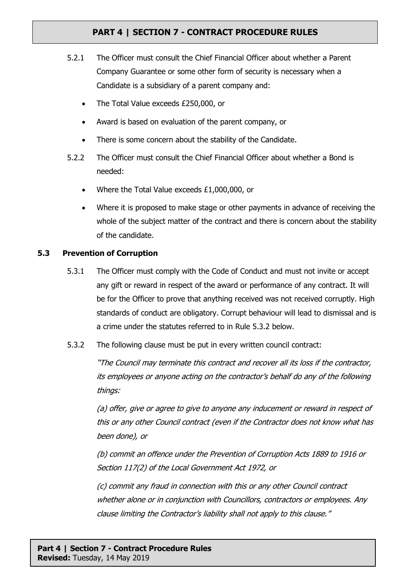- 5.2.1 The Officer must consult the Chief Financial Officer about whether a Parent Company Guarantee or some other form of security is necessary when a Candidate is a subsidiary of a parent company and:
	- The Total Value exceeds £250,000, or
	- Award is based on evaluation of the parent company, or
	- There is some concern about the stability of the Candidate.
- 5.2.2 The Officer must consult the Chief Financial Officer about whether a Bond is needed:
	- Where the Total Value exceeds £1,000,000, or
	- Where it is proposed to make stage or other payments in advance of receiving the whole of the subject matter of the contract and there is concern about the stability of the candidate.

### **5.3 Prevention of Corruption**

- 5.3.1 The Officer must comply with the Code of Conduct and must not invite or accept any gift or reward in respect of the award or performance of any contract. It will be for the Officer to prove that anything received was not received corruptly. High standards of conduct are obligatory. Corrupt behaviour will lead to dismissal and is a crime under the statutes referred to in Rule 5.3.2 below.
- 5.3.2 The following clause must be put in every written council contract:

"The Council may terminate this contract and recover all its loss if the contractor, its employees or anyone acting on the contractor's behalf do any of the following things:

(a) offer, give or agree to give to anyone any inducement or reward in respect of this or any other Council contract (even if the Contractor does not know what has been done), or

(b) commit an offence under the Prevention of Corruption Acts 1889 to 1916 or Section 117(2) of the Local Government Act 1972, or

(c) commit any fraud in connection with this or any other Council contract whether alone or in conjunction with Councillors, contractors or employees. Any clause limiting the Contractor's liability shall not apply to this clause."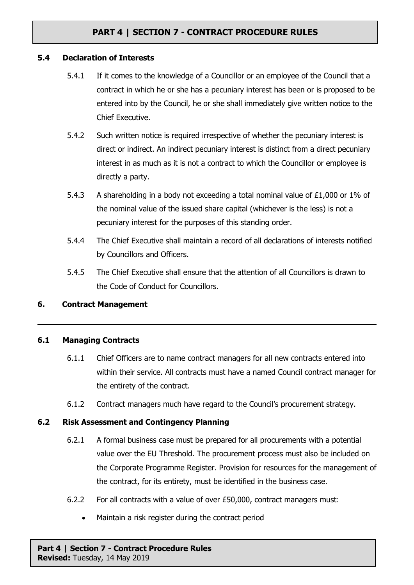#### **5.4 Declaration of Interests**

- 5.4.1 If it comes to the knowledge of a Councillor or an employee of the Council that a contract in which he or she has a pecuniary interest has been or is proposed to be entered into by the Council, he or she shall immediately give written notice to the Chief Executive.
- 5.4.2 Such written notice is required irrespective of whether the pecuniary interest is direct or indirect. An indirect pecuniary interest is distinct from a direct pecuniary interest in as much as it is not a contract to which the Councillor or employee is directly a party.
- 5.4.3 A shareholding in a body not exceeding a total nominal value of £1,000 or 1% of the nominal value of the issued share capital (whichever is the less) is not a pecuniary interest for the purposes of this standing order.
- 5.4.4 The Chief Executive shall maintain a record of all declarations of interests notified by Councillors and Officers.
- 5.4.5 The Chief Executive shall ensure that the attention of all Councillors is drawn to the Code of Conduct for Councillors.

### **6. Contract Management**

#### **6.1 Managing Contracts**

- 6.1.1 Chief Officers are to name contract managers for all new contracts entered into within their service. All contracts must have a named Council contract manager for the entirety of the contract.
- 6.1.2 Contract managers much have regard to the Council's procurement strategy.

#### **6.2 Risk Assessment and Contingency Planning**

- 6.2.1 A formal business case must be prepared for all procurements with a potential value over the EU Threshold. The procurement process must also be included on the Corporate Programme Register. Provision for resources for the management of the contract, for its entirety, must be identified in the business case.
- 6.2.2 For all contracts with a value of over £50,000, contract managers must:
	- Maintain a risk register during the contract period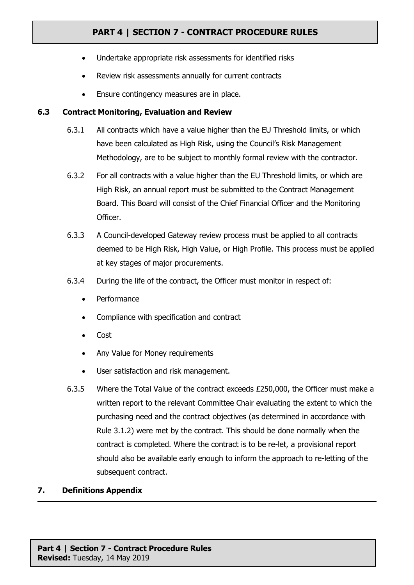- Undertake appropriate risk assessments for identified risks
- Review risk assessments annually for current contracts
- Ensure contingency measures are in place.

### **6.3 Contract Monitoring, Evaluation and Review**

- 6.3.1 All contracts which have a value higher than the EU Threshold limits, or which have been calculated as High Risk, using the Council's Risk Management Methodology, are to be subject to monthly formal review with the contractor.
- 6.3.2 For all contracts with a value higher than the EU Threshold limits, or which are High Risk, an annual report must be submitted to the Contract Management Board. This Board will consist of the Chief Financial Officer and the Monitoring Officer.
- 6.3.3 A Council-developed Gateway review process must be applied to all contracts deemed to be High Risk, High Value, or High Profile. This process must be applied at key stages of major procurements.
- 6.3.4 During the life of the contract, the Officer must monitor in respect of:
	- Performance
	- Compliance with specification and contract
	- Cost
	- Any Value for Money requirements
	- User satisfaction and risk management.
- 6.3.5 Where the Total Value of the contract exceeds £250,000, the Officer must make a written report to the relevant Committee Chair evaluating the extent to which the purchasing need and the contract objectives (as determined in accordance with Rule 3.1.2) were met by the contract. This should be done normally when the contract is completed. Where the contract is to be re-let, a provisional report should also be available early enough to inform the approach to re-letting of the subsequent contract.

### **7. Definitions Appendix**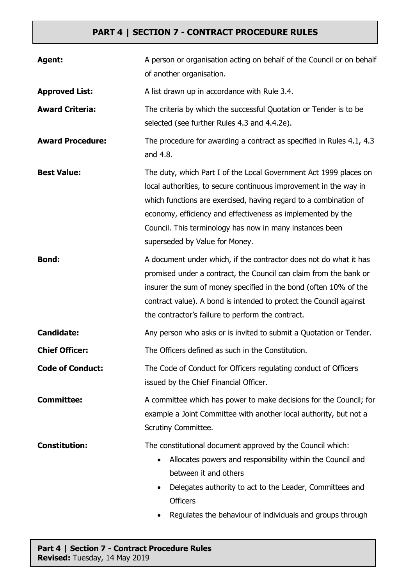| Agent:                  | A person or organisation acting on behalf of the Council or on behalf<br>of another organisation.                                                                                                                                                                                                                                                                       |
|-------------------------|-------------------------------------------------------------------------------------------------------------------------------------------------------------------------------------------------------------------------------------------------------------------------------------------------------------------------------------------------------------------------|
| <b>Approved List:</b>   | A list drawn up in accordance with Rule 3.4.                                                                                                                                                                                                                                                                                                                            |
| <b>Award Criteria:</b>  | The criteria by which the successful Quotation or Tender is to be<br>selected (see further Rules 4.3 and 4.4.2e).                                                                                                                                                                                                                                                       |
| <b>Award Procedure:</b> | The procedure for awarding a contract as specified in Rules 4.1, 4.3<br>and 4.8.                                                                                                                                                                                                                                                                                        |
| <b>Best Value:</b>      | The duty, which Part I of the Local Government Act 1999 places on<br>local authorities, to secure continuous improvement in the way in<br>which functions are exercised, having regard to a combination of<br>economy, efficiency and effectiveness as implemented by the<br>Council. This terminology has now in many instances been<br>superseded by Value for Money. |
| <b>Bond:</b>            | A document under which, if the contractor does not do what it has<br>promised under a contract, the Council can claim from the bank or<br>insurer the sum of money specified in the bond (often 10% of the<br>contract value). A bond is intended to protect the Council against<br>the contractor's failure to perform the contract.                                   |
| <b>Candidate:</b>       | Any person who asks or is invited to submit a Quotation or Tender.                                                                                                                                                                                                                                                                                                      |
| <b>Chief Officer:</b>   | The Officers defined as such in the Constitution.                                                                                                                                                                                                                                                                                                                       |
| <b>Code of Conduct:</b> | The Code of Conduct for Officers regulating conduct of Officers<br>issued by the Chief Financial Officer.                                                                                                                                                                                                                                                               |
| <b>Committee:</b>       | A committee which has power to make decisions for the Council; for<br>example a Joint Committee with another local authority, but not a<br>Scrutiny Committee.                                                                                                                                                                                                          |
| <b>Constitution:</b>    | The constitutional document approved by the Council which:<br>Allocates powers and responsibility within the Council and<br>$\bullet$<br>between it and others<br>Delegates authority to act to the Leader, Committees and<br><b>Officers</b><br>Regulates the behaviour of individuals and groups through                                                              |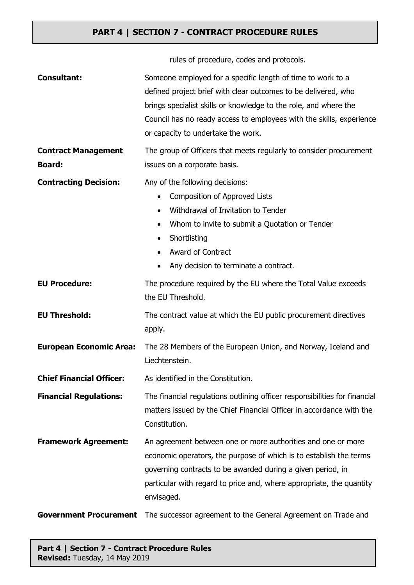rules of procedure, codes and protocols.

| <b>Consultant:</b>                          | Someone employed for a specific length of time to work to a<br>defined project brief with clear outcomes to be delivered, who<br>brings specialist skills or knowledge to the role, and where the<br>Council has no ready access to employees with the skills, experience<br>or capacity to undertake the work. |
|---------------------------------------------|-----------------------------------------------------------------------------------------------------------------------------------------------------------------------------------------------------------------------------------------------------------------------------------------------------------------|
| <b>Contract Management</b><br><b>Board:</b> | The group of Officers that meets regularly to consider procurement<br>issues on a corporate basis.                                                                                                                                                                                                              |
| <b>Contracting Decision:</b>                | Any of the following decisions:<br><b>Composition of Approved Lists</b><br>$\bullet$<br>Withdrawal of Invitation to Tender<br>Whom to invite to submit a Quotation or Tender<br>Shortlisting<br>٠<br><b>Award of Contract</b><br>Any decision to terminate a contract.                                          |
| <b>EU Procedure:</b>                        | The procedure required by the EU where the Total Value exceeds<br>the EU Threshold.                                                                                                                                                                                                                             |
| <b>EU Threshold:</b>                        | The contract value at which the EU public procurement directives<br>apply.                                                                                                                                                                                                                                      |
| <b>European Economic Area:</b>              | The 28 Members of the European Union, and Norway, Iceland and<br>Liechtenstein.                                                                                                                                                                                                                                 |
| <b>Chief Financial Officer:</b>             | As identified in the Constitution.                                                                                                                                                                                                                                                                              |
| <b>Financial Regulations:</b>               | The financial regulations outlining officer responsibilities for financial<br>matters issued by the Chief Financial Officer in accordance with the<br>Constitution.                                                                                                                                             |
| <b>Framework Agreement:</b>                 | An agreement between one or more authorities and one or more<br>economic operators, the purpose of which is to establish the terms<br>governing contracts to be awarded during a given period, in<br>particular with regard to price and, where appropriate, the quantity<br>envisaged.                         |
| <b>Government Procurement</b>               | The successor agreement to the General Agreement on Trade and                                                                                                                                                                                                                                                   |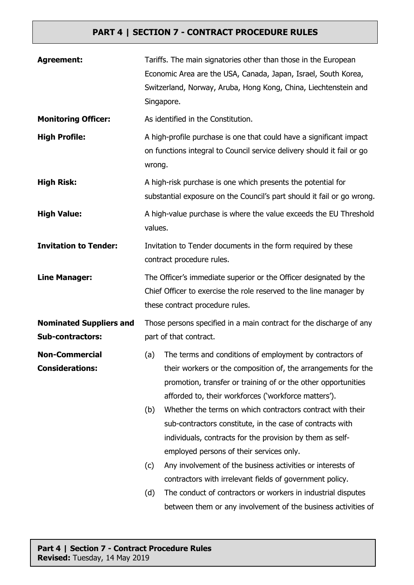| <b>Agreement:</b>                                         | Tariffs. The main signatories other than those in the European<br>Economic Area are the USA, Canada, Japan, Israel, South Korea,<br>Switzerland, Norway, Aruba, Hong Kong, China, Liechtenstein and<br>Singapore.                                                                                                                                                                                                                                                                                                                                                                                                                                                                                            |  |
|-----------------------------------------------------------|--------------------------------------------------------------------------------------------------------------------------------------------------------------------------------------------------------------------------------------------------------------------------------------------------------------------------------------------------------------------------------------------------------------------------------------------------------------------------------------------------------------------------------------------------------------------------------------------------------------------------------------------------------------------------------------------------------------|--|
| <b>Monitoring Officer:</b>                                | As identified in the Constitution.                                                                                                                                                                                                                                                                                                                                                                                                                                                                                                                                                                                                                                                                           |  |
| <b>High Profile:</b>                                      | A high-profile purchase is one that could have a significant impact<br>on functions integral to Council service delivery should it fail or go<br>wrong.                                                                                                                                                                                                                                                                                                                                                                                                                                                                                                                                                      |  |
| <b>High Risk:</b>                                         | A high-risk purchase is one which presents the potential for<br>substantial exposure on the Council's part should it fail or go wrong.                                                                                                                                                                                                                                                                                                                                                                                                                                                                                                                                                                       |  |
| <b>High Value:</b>                                        | A high-value purchase is where the value exceeds the EU Threshold<br>values.                                                                                                                                                                                                                                                                                                                                                                                                                                                                                                                                                                                                                                 |  |
| <b>Invitation to Tender:</b>                              | Invitation to Tender documents in the form required by these<br>contract procedure rules.                                                                                                                                                                                                                                                                                                                                                                                                                                                                                                                                                                                                                    |  |
| <b>Line Manager:</b>                                      | The Officer's immediate superior or the Officer designated by the<br>Chief Officer to exercise the role reserved to the line manager by<br>these contract procedure rules.                                                                                                                                                                                                                                                                                                                                                                                                                                                                                                                                   |  |
| <b>Nominated Suppliers and</b><br><b>Sub-contractors:</b> | Those persons specified in a main contract for the discharge of any<br>part of that contract.                                                                                                                                                                                                                                                                                                                                                                                                                                                                                                                                                                                                                |  |
| <b>Non-Commercial</b><br><b>Considerations:</b>           | The terms and conditions of employment by contractors of<br>(a)<br>their workers or the composition of, the arrangements for the<br>promotion, transfer or training of or the other opportunities<br>afforded to, their workforces ('workforce matters').<br>Whether the terms on which contractors contract with their<br>(b)<br>sub-contractors constitute, in the case of contracts with<br>individuals, contracts for the provision by them as self-<br>employed persons of their services only.<br>Any involvement of the business activities or interests of<br>(c)<br>contractors with irrelevant fields of government policy.<br>The conduct of contractors or workers in industrial disputes<br>(d) |  |
|                                                           | between them or any involvement of the business activities of                                                                                                                                                                                                                                                                                                                                                                                                                                                                                                                                                                                                                                                |  |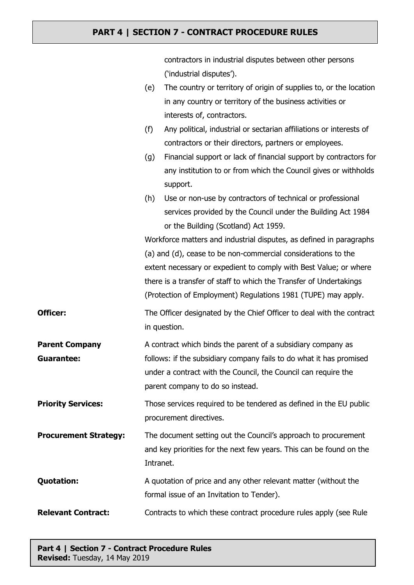|                              |                                                                     | contractors in industrial disputes between other persons                    |
|------------------------------|---------------------------------------------------------------------|-----------------------------------------------------------------------------|
|                              |                                                                     | ('industrial disputes').                                                    |
|                              | (e)                                                                 | The country or territory of origin of supplies to, or the location          |
|                              |                                                                     | in any country or territory of the business activities or                   |
|                              |                                                                     | interests of, contractors.                                                  |
|                              | (f)                                                                 | Any political, industrial or sectarian affiliations or interests of         |
|                              |                                                                     | contractors or their directors, partners or employees.                      |
|                              | (g)                                                                 | Financial support or lack of financial support by contractors for           |
|                              |                                                                     | any institution to or from which the Council gives or withholds<br>support. |
|                              | (h)                                                                 | Use or non-use by contractors of technical or professional                  |
|                              |                                                                     | services provided by the Council under the Building Act 1984                |
|                              |                                                                     | or the Building (Scotland) Act 1959.                                        |
|                              | Workforce matters and industrial disputes, as defined in paragraphs |                                                                             |
|                              |                                                                     | (a) and (d), cease to be non-commercial considerations to the               |
|                              |                                                                     | extent necessary or expedient to comply with Best Value; or where           |
|                              |                                                                     | there is a transfer of staff to which the Transfer of Undertakings          |
|                              |                                                                     | (Protection of Employment) Regulations 1981 (TUPE) may apply.               |
| <b>Officer:</b>              |                                                                     | The Officer designated by the Chief Officer to deal with the contract       |
|                              |                                                                     | in question.                                                                |
| <b>Parent Company</b>        |                                                                     | A contract which binds the parent of a subsidiary company as                |
| <b>Guarantee:</b>            | follows: if the subsidiary company fails to do what it has promised |                                                                             |
|                              |                                                                     | under a contract with the Council, the Council can require the              |
|                              |                                                                     | parent company to do so instead.                                            |
| <b>Priority Services:</b>    |                                                                     | Those services required to be tendered as defined in the EU public          |
|                              |                                                                     | procurement directives.                                                     |
| <b>Procurement Strategy:</b> |                                                                     | The document setting out the Council's approach to procurement              |
|                              |                                                                     | and key priorities for the next few years. This can be found on the         |
|                              | Intranet.                                                           |                                                                             |
| <b>Quotation:</b>            |                                                                     | A quotation of price and any other relevant matter (without the             |
|                              |                                                                     | formal issue of an Invitation to Tender).                                   |
| <b>Relevant Contract:</b>    |                                                                     |                                                                             |
|                              | Contracts to which these contract procedure rules apply (see Rule   |                                                                             |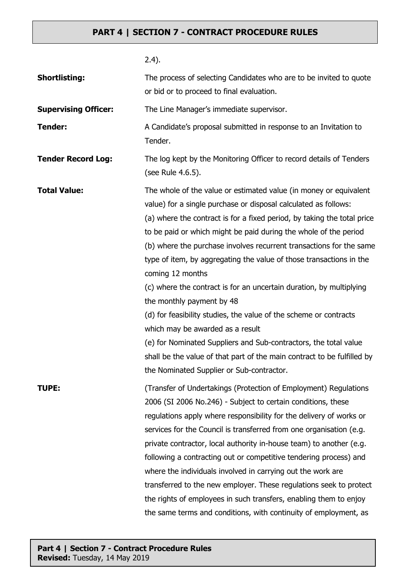| <b>Shortlisting:</b>        | The process of selecting Candidates who are to be invited to quote<br>or bid or to proceed to final evaluation.                                                                                                                                                                                                                                                                                                                                                                                                                                                                                                                                                                                                                                                                                                                                                |
|-----------------------------|----------------------------------------------------------------------------------------------------------------------------------------------------------------------------------------------------------------------------------------------------------------------------------------------------------------------------------------------------------------------------------------------------------------------------------------------------------------------------------------------------------------------------------------------------------------------------------------------------------------------------------------------------------------------------------------------------------------------------------------------------------------------------------------------------------------------------------------------------------------|
| <b>Supervising Officer:</b> | The Line Manager's immediate supervisor.                                                                                                                                                                                                                                                                                                                                                                                                                                                                                                                                                                                                                                                                                                                                                                                                                       |
| <b>Tender:</b>              | A Candidate's proposal submitted in response to an Invitation to<br>Tender.                                                                                                                                                                                                                                                                                                                                                                                                                                                                                                                                                                                                                                                                                                                                                                                    |
| <b>Tender Record Log:</b>   | The log kept by the Monitoring Officer to record details of Tenders<br>(see Rule 4.6.5).                                                                                                                                                                                                                                                                                                                                                                                                                                                                                                                                                                                                                                                                                                                                                                       |
| <b>Total Value:</b>         | The whole of the value or estimated value (in money or equivalent<br>value) for a single purchase or disposal calculated as follows:<br>(a) where the contract is for a fixed period, by taking the total price<br>to be paid or which might be paid during the whole of the period<br>(b) where the purchase involves recurrent transactions for the same<br>type of item, by aggregating the value of those transactions in the<br>coming 12 months<br>(c) where the contract is for an uncertain duration, by multiplying<br>the monthly payment by 48<br>(d) for feasibility studies, the value of the scheme or contracts<br>which may be awarded as a result<br>(e) for Nominated Suppliers and Sub-contractors, the total value<br>shall be the value of that part of the main contract to be fulfilled by<br>the Nominated Supplier or Sub-contractor. |
| <b>TUPE:</b>                | (Transfer of Undertakings (Protection of Employment) Regulations<br>2006 (SI 2006 No.246) - Subject to certain conditions, these<br>regulations apply where responsibility for the delivery of works or<br>services for the Council is transferred from one organisation (e.g.<br>private contractor, local authority in-house team) to another (e.g.<br>following a contracting out or competitive tendering process) and<br>where the individuals involved in carrying out the work are<br>transferred to the new employer. These regulations seek to protect<br>the rights of employees in such transfers, enabling them to enjoy<br>the same terms and conditions, with continuity of employment, as                                                                                                                                                       |